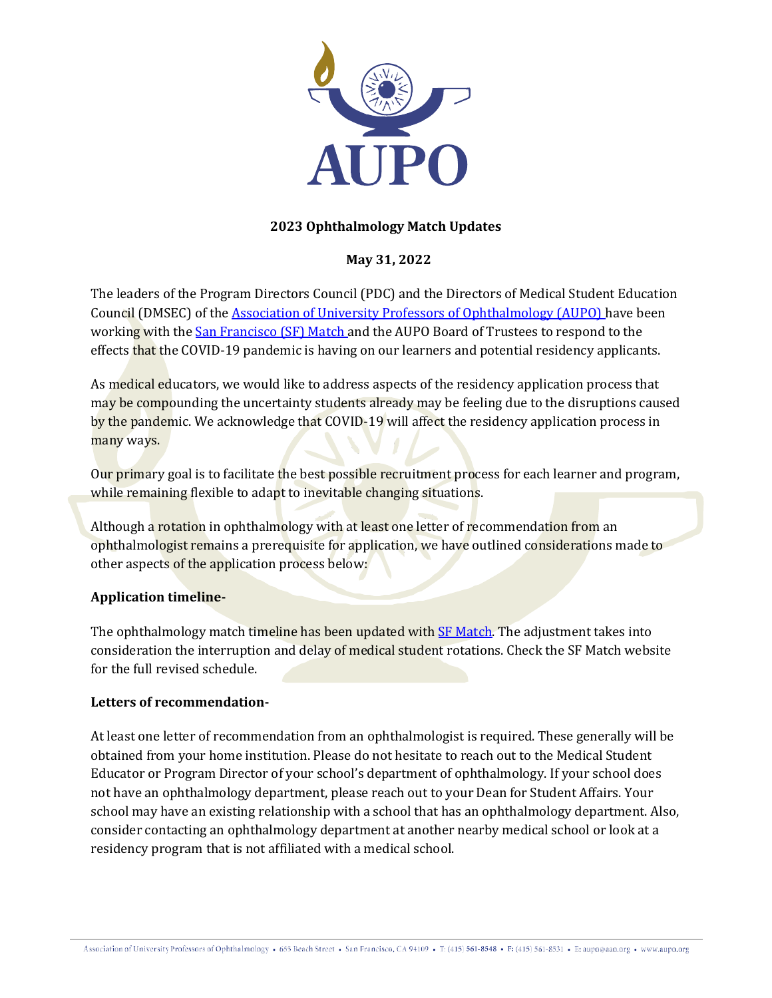

# **2023 Ophthalmology Match Updates**

## **May 31, 2022**

The leaders of the Program Directors Council (PDC) and the Directors of Medical Student Education Council (DMSEC) of the [Association of University Professors of Ophthalmology \(AUPO\) h](https://aupo.org/)ave been working with the [San Francisco \(SF\) Match a](https://sfmatch.org/)nd the AUPO Board of Trustees to respond to the effects that the COVID-19 pandemic is having on our learners and potential residency applicants.

As medical educators, we would like to address aspects of the residency application process that may be compounding the uncertainty students already may be feeling due to the disruptions caused by the pandemic. We acknowledge that COVID-19 will affect the residency application process in many ways.

Our primary goal is to facilitate the best possible recruitment process for each learner and program, while remaining flexible to adapt to inevitable changing situations.

Although a rotation in ophthalmology with at least one letter of recommendation from an ophthalmologist remains a prerequisite for application, we have outlined considerations made to other aspects of the application process below:

## **Application timeline-**

The ophthalmology match timeline has been updated wit[h SF Match.](https://sfmatch.org/) The adjustment takes into consideration the interruption and delay of medical student rotations. Check the SF Match website for the full revised schedule.

#### **Letters of recommendation-**

At least one letter of recommendation from an ophthalmologist is required. These generally will be obtained from your home institution. Please do not hesitate to reach out to the Medical Student Educator or Program Director of your school's department of ophthalmology. If your school does not have an ophthalmology department, please reach out to your Dean for Student Affairs. Your school may have an existing relationship with a school that has an ophthalmology department. Also, consider contacting an ophthalmology department at another nearby medical school or look at a residency program that is not affiliated with a medical school.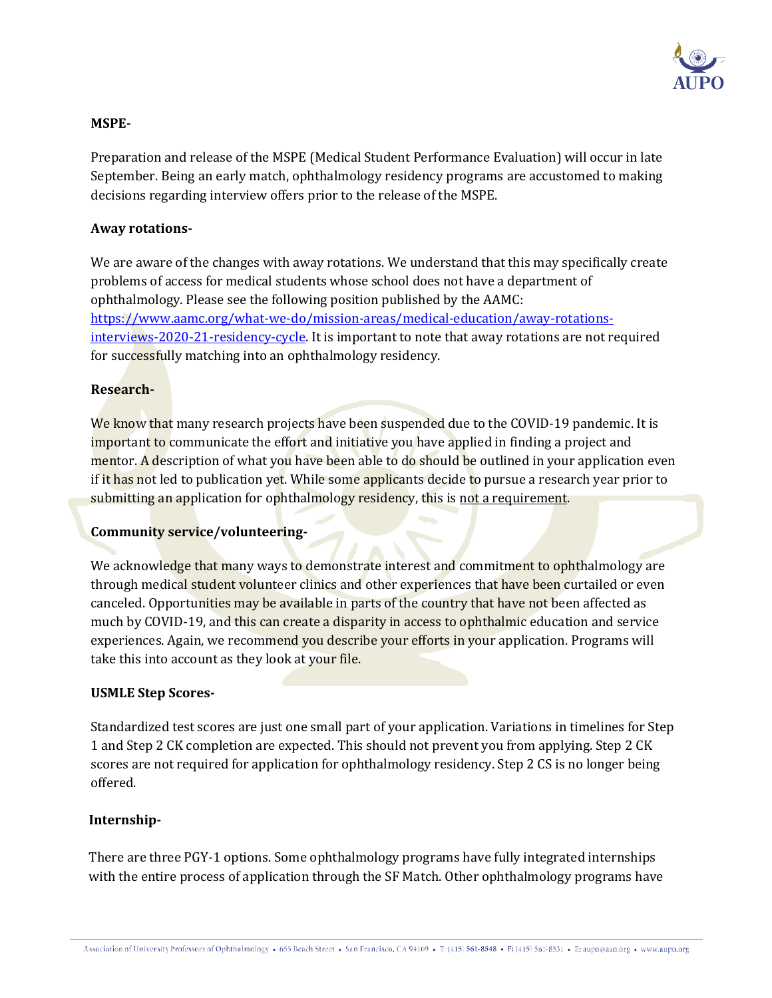

### **MSPE-**

Preparation and release of the MSPE (Medical Student Performance Evaluation) will occur in late September. Being an early match, ophthalmology residency programs are accustomed to making decisions regarding interview offers prior to the release of the MSPE.

### **Away rotations-**

We are aware of the changes with away rotations. We understand that this may specifically create problems of access for medical students whose school does not have a department of ophthalmology. Please see the following position published by the AAMC: [https://www.aamc.org/what-we-do/mission-areas/medical-education/away-rotations](https://www.aamc.org/what-we-do/mission-areas/medical-education/away-rotations-interviews-2020-21-residency-cycle)[interviews-2020-21-residency-cycle.](https://www.aamc.org/what-we-do/mission-areas/medical-education/away-rotations-interviews-2020-21-residency-cycle) It is important to note that away rotations are not required for successfully matching into an ophthalmology residency.

### **Research-**

We know that many research projects have been suspended due to the COVID-19 pandemic. It is important to communicate the effort and initiative you have applied in finding a project and mentor. A description of what you have been able to do should be outlined in your application even if it has not led to publication yet. While some applicants decide to pursue a research year prior to submitting an application for ophthalmology residency, this is not a requirement.

## **Community service/volunteering-**

We acknowledge that many ways to demonstrate interest and commitment to ophthalmology are through medical student volunteer clinics and other experiences that have been curtailed or even canceled. Opportunities may be available in parts of the country that have not been affected as much by COVID-19, and this can create a disparity in access to ophthalmic education and service experiences. Again, we recommend you describe your efforts in your application. Programs will take this into account as they look at your file.

#### **USMLE Step Scores-**

Standardized test scores are just one small part of your application. Variations in timelines for Step 1 and Step 2 CK completion are expected. This should not prevent you from applying. Step 2 CK scores are not required for application for ophthalmology residency. Step 2 CS is no longer being offered.

#### **Internship-**

There are three PGY-1 options. Some ophthalmology programs have fully integrated internships with the entire process of application through the SF Match. Other ophthalmology programs have